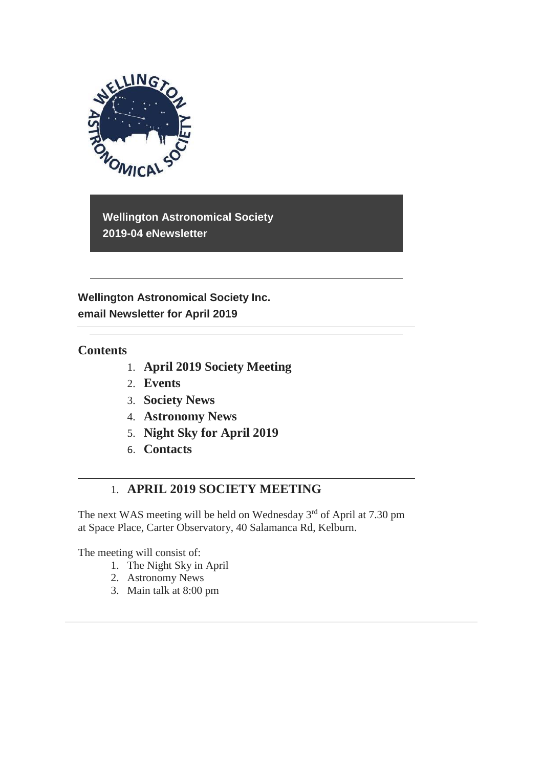

**Wellington Astronomical Society 2019-04 eNewsletter**

**Wellington Astronomical Society Inc. email Newsletter for April 2019**

### **Contents**

- 1. **April 2019 Society Meeting**
- 2. **Events**
- 3. **Society News**
- 4. **Astronomy News**
- 5. **Night Sky for April 2019**
- 6. **Contacts**

## 1. **APRIL 2019 SOCIETY MEETING**

The next WAS meeting will be held on Wednesday  $3<sup>rd</sup>$  of April at 7.30 pm at Space Place, Carter Observatory, 40 Salamanca Rd, Kelburn.

The meeting will consist of:

- 1. The Night Sky in April
- 2. Astronomy News
- 3. Main talk at 8:00 pm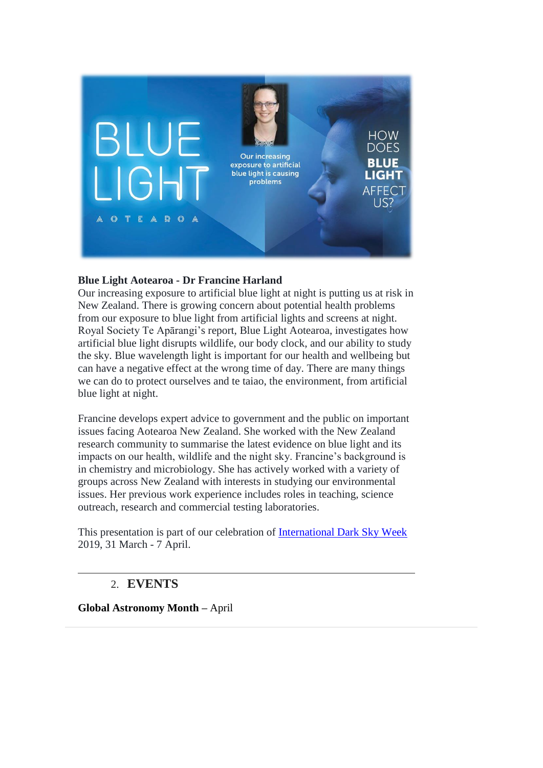

### **Blue Light Aotearoa - Dr Francine Harland**

Our increasing exposure to artificial blue light at night is putting us at risk in New Zealand. There is growing concern about potential health problems from our exposure to blue light from artificial lights and screens at night. Royal Society Te Apārangi's report, Blue Light Aotearoa, investigates how artificial blue light disrupts wildlife, our body clock, and our ability to study the sky. Blue wavelength light is important for our health and wellbeing but can have a negative effect at the wrong time of day. There are many things we can do to protect ourselves and te taiao, the environment, from artificial blue light at night.

Francine develops expert advice to government and the public on important issues facing Aotearoa New Zealand. She worked with the New Zealand research community to summarise the latest evidence on blue light and its impacts on our health, wildlife and the night sky. Francine's background is in chemistry and microbiology. She has actively worked with a variety of groups across New Zealand with interests in studying our environmental issues. Her previous work experience includes roles in teaching, science outreach, research and commercial testing laboratories.

This presentation is part of our celebration of [International Dark Sky Week](https://www.darksky.org/dark-sky-week-2019/) 2019, 31 March - 7 April.

## 2. **EVENTS**

**Global Astronomy Month –** April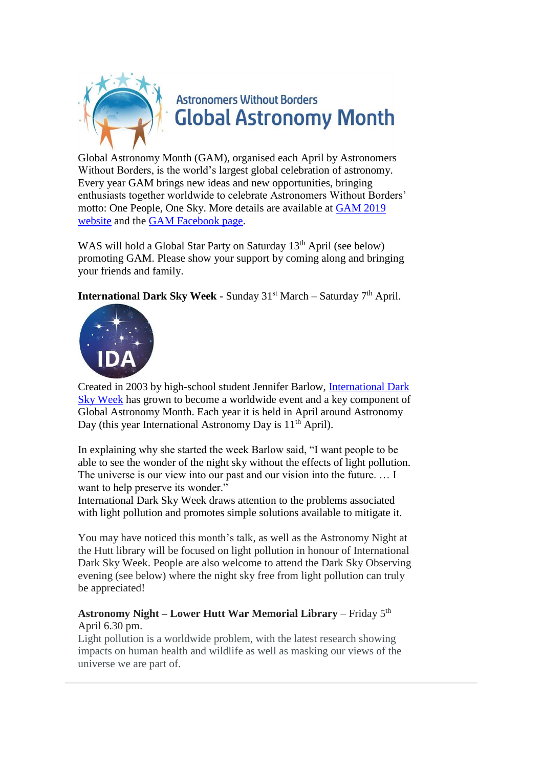

Global Astronomy Month (GAM), organised each April by Astronomers Without Borders, is the world's largest global celebration of astronomy. Every year GAM brings new ideas and new opportunities, bringing enthusiasts together worldwide to celebrate Astronomers Without Borders' motto: One People, One Sky. More details are available at [GAM 2019](https://astronomerswithoutborders.org/global-astronomy-month-2019.html) [website](https://astronomerswithoutborders.org/global-astronomy-month-2019.html) and the [GAM Facebook page.](https://www.facebook.com/gam.awb/)

WAS will hold a Global Star Party on Saturday 13<sup>th</sup> April (see below) promoting GAM. Please show your support by coming along and bringing your friends and family.

**International Dark Sky Week - Sunday 31st March – Saturday 7<sup>th</sup> April.** 



Created in 2003 by high-school student Jennifer Barlow, [International Dark](https://www.darksky.org/dark-sky-week-2019/)  [Sky Week](https://www.darksky.org/dark-sky-week-2019/) has grown to become a worldwide event and a key component of Global Astronomy Month. Each year it is held in April around Astronomy Day (this year International Astronomy Day is  $11<sup>th</sup>$  April).

In explaining why she started the week Barlow said, "I want people to be able to see the wonder of the night sky without the effects of light pollution. The universe is our view into our past and our vision into the future. … I want to help preserve its wonder."

International Dark Sky Week draws attention to the problems associated with light pollution and promotes simple solutions available to mitigate it.

You may have noticed this month's talk, as well as the Astronomy Night at the Hutt library will be focused on light pollution in honour of International Dark Sky Week. People are also welcome to attend the Dark Sky Observing evening (see below) where the night sky free from light pollution can truly be appreciated!

### **Astronomy Night – Lower Hutt War Memorial Library** – Friday 5th April 6.30 pm.

Light pollution is a worldwide problem, with the latest research showing impacts on human health and wildlife as well as masking our views of the universe we are part of.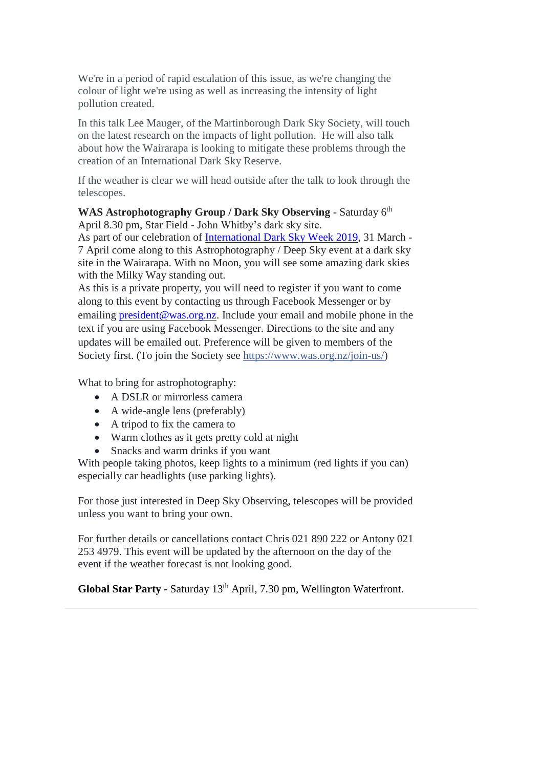We're in a period of rapid escalation of this issue, as we're changing the colour of light we're using as well as increasing the intensity of light pollution created.

In this talk Lee Mauger, of the Martinborough Dark Sky Society, will touch on the latest research on the impacts of light pollution. He will also talk about how the Wairarapa is looking to mitigate these problems through the creation of an International Dark Sky Reserve.

If the weather is clear we will head outside after the talk to look through the telescopes.

WAS Astrophotography Group / Dark Sky Observing - Saturday 6<sup>th</sup> April 8.30 pm, Star Field - John Whitby's dark sky site.

As part of our celebration of [International Dark Sky Week 2019,](https://www.darksky.org/dark-sky-week-2019/) 31 March - 7 April come along to this Astrophotography / Deep Sky event at a dark sky site in the Wairarapa. With no Moon, you will see some amazing dark skies with the Milky Way standing out.

As this is a private property, you will need to register if you want to come along to this event by contacting us through Facebook Messenger or by emailing [president@was.org.nz.](mailto:president@was.org.nz) Include your email and mobile phone in the text if you are using Facebook Messenger. Directions to the site and any updates will be emailed out. Preference will be given to members of the Society first. (To join the Society see [https://www.was.org.nz/join-us/\)](https://www.was.org.nz/join-us/?fbclid=IwAR259HJp3obvJriRaZ9gU2RwrDIn5Atwjb_oel1AhmKxBhgeN4O_8oampZg)

What to bring for astrophotography:

- A DSLR or mirrorless camera
- A wide-angle lens (preferably)
- A tripod to fix the camera to
- Warm clothes as it gets pretty cold at night
- Snacks and warm drinks if you want

With people taking photos, keep lights to a minimum (red lights if you can) especially car headlights (use parking lights).

For those just interested in Deep Sky Observing, telescopes will be provided unless you want to bring your own.

For further details or cancellations contact Chris 021 890 222 or Antony 021 253 4979. This event will be updated by the afternoon on the day of the event if the weather forecast is not looking good.

**Global Star Party -** Saturday 13th April, 7.30 pm, Wellington Waterfront.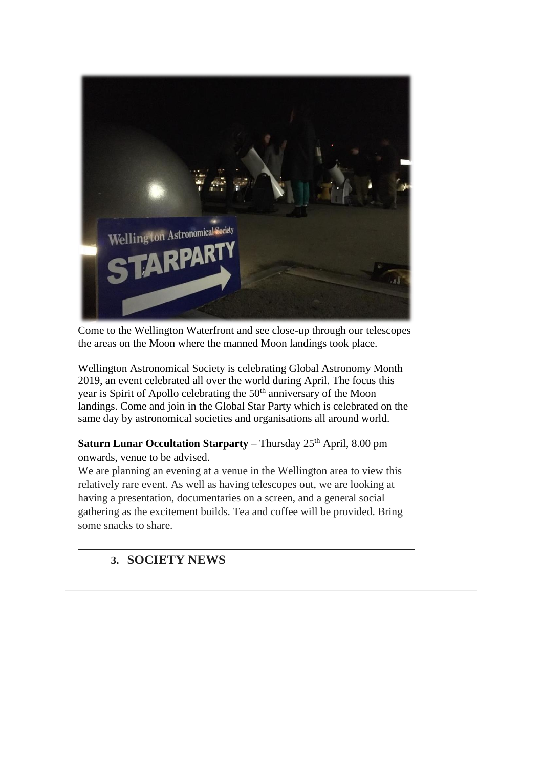

Come to the Wellington Waterfront and see close-up through our telescopes the areas on the Moon where the manned Moon landings took place.

Wellington Astronomical Society is celebrating Global Astronomy Month 2019, an event celebrated all over the world during April. The focus this year is Spirit of Apollo celebrating the 50<sup>th</sup> anniversary of the Moon landings. Come and join in the Global Star Party which is celebrated on the same day by astronomical societies and organisations all around world.

**Saturn Lunar Occultation Starparty** – Thursday 25<sup>th</sup> April, 8.00 pm onwards, venue to be advised.

We are planning an evening at a venue in the Wellington area to view this relatively rare event. As well as having telescopes out, we are looking at having a presentation, documentaries on a screen, and a general social gathering as the excitement builds. Tea and coffee will be provided. Bring some snacks to share.

# **3. SOCIETY NEWS**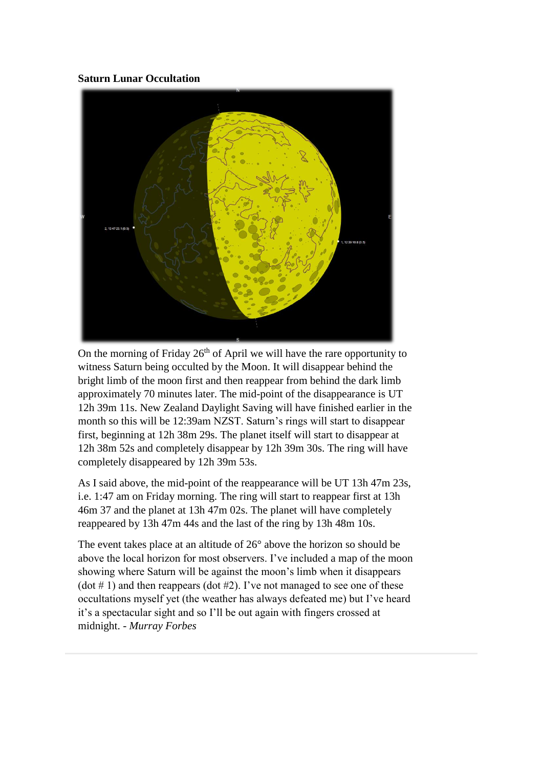### **Saturn Lunar Occultation**



On the morning of Friday 26<sup>th</sup> of April we will have the rare opportunity to witness Saturn being occulted by the Moon. It will disappear behind the bright limb of the moon first and then reappear from behind the dark limb approximately 70 minutes later. The mid-point of the disappearance is UT 12h 39m 11s. New Zealand Daylight Saving will have finished earlier in the month so this will be 12:39am NZST. Saturn's rings will start to disappear first, beginning at 12h 38m 29s. The planet itself will start to disappear at 12h 38m 52s and completely disappear by 12h 39m 30s. The ring will have completely disappeared by 12h 39m 53s.

As I said above, the mid-point of the reappearance will be UT 13h 47m 23s, i.e. 1:47 am on Friday morning. The ring will start to reappear first at 13h 46m 37 and the planet at 13h 47m 02s. The planet will have completely reappeared by 13h 47m 44s and the last of the ring by 13h 48m 10s.

The event takes place at an altitude of 26° above the horizon so should be above the local horizon for most observers. I've included a map of the moon showing where Saturn will be against the moon's limb when it disappears  $(\text{dot } \# 1)$  and then reappears  $(\text{dot } \# 2)$ . I've not managed to see one of these occultations myself yet (the weather has always defeated me) but I've heard it's a spectacular sight and so I'll be out again with fingers crossed at midnight. - *Murray Forbes*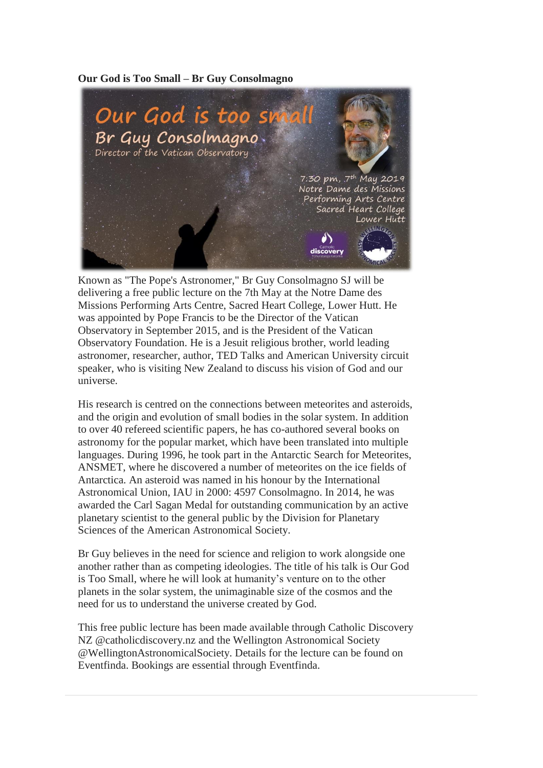#### **Our God is Too Small – Br Guy Consolmagno**



Known as "The Pope's Astronomer," Br Guy Consolmagno SJ will be delivering a free public lecture on the 7th May at the Notre Dame des Missions Performing Arts Centre, Sacred Heart College, Lower Hutt. He was appointed by Pope Francis to be the Director of the Vatican Observatory in September 2015, and is the President of the Vatican Observatory Foundation. He is a Jesuit religious brother, world leading astronomer, researcher, author, TED Talks and American University circuit speaker, who is visiting New Zealand to discuss his vision of God and our universe.

His research is centred on the connections between meteorites and asteroids, and the origin and evolution of small bodies in the solar system. In addition to over 40 refereed scientific papers, he has co-authored several books on astronomy for the popular market, which have been translated into multiple languages. During 1996, he took part in the Antarctic Search for Meteorites, ANSMET, where he discovered a number of meteorites on the ice fields of Antarctica. An asteroid was named in his honour by the International Astronomical Union, IAU in 2000: 4597 Consolmagno. In 2014, he was awarded the Carl Sagan Medal for outstanding communication by an active planetary scientist to the general public by the Division for Planetary Sciences of the American Astronomical Society.

Br Guy believes in the need for science and religion to work alongside one another rather than as competing ideologies. The title of his talk is Our God is Too Small, where he will look at humanity's venture on to the other planets in the solar system, the unimaginable size of the cosmos and the need for us to understand the universe created by God.

This free public lecture has been made available through Catholic Discovery NZ @catholicdiscovery.nz and the Wellington Astronomical Society @WellingtonAstronomicalSociety. Details for the lecture can be found on Eventfinda. Bookings are essential through Eventfinda.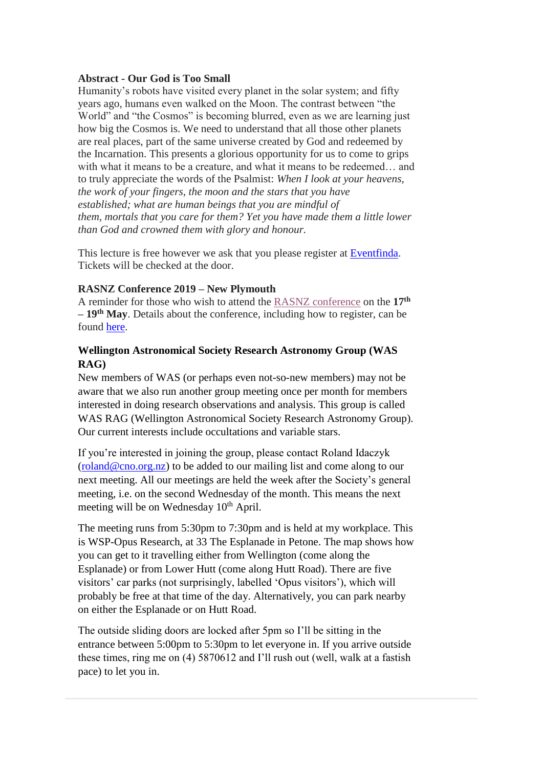#### **Abstract - Our God is Too Small**

Humanity's robots have visited every planet in the solar system; and fifty years ago, humans even walked on the Moon. The contrast between "the World" and "the Cosmos" is becoming blurred, even as we are learning just how big the Cosmos is. We need to understand that all those other planets are real places, part of the same universe created by God and redeemed by the Incarnation. This presents a glorious opportunity for us to come to grips with what it means to be a creature, and what it means to be redeemed... and to truly appreciate the words of the Psalmist: *When I look at your heavens, the work of your fingers, the moon and the stars that you have established; what are human beings that you are mindful of them, mortals that you care for them? Yet you have made them a little lower than God and crowned them with glory and honour.*

This lecture is free however we ask that you please register at [Eventfinda.](https://www.eventfinda.co.nz/2019/your-god-is-too-small-br-guy-consolmagno/wellington-region) Tickets will be checked at the door.

### **RASNZ Conference 2019 – New Plymouth**

A reminder for those who wish to attend the [RASNZ conference](https://www.rasnz.org.nz/groups-news-events/conf-next) on the **17th – 19th May**. Details about the conference, including how to register, can be found [here.](https://www.rasnz.org.nz/groups-news-events/conf-next)

### **Wellington Astronomical Society Research Astronomy Group (WAS RAG)**

New members of WAS (or perhaps even not-so-new members) may not be aware that we also run another group meeting once per month for members interested in doing research observations and analysis. This group is called WAS RAG (Wellington Astronomical Society Research Astronomy Group). Our current interests include occultations and variable stars.

If you're interested in joining the group, please contact Roland Idaczyk  $(roland@cno.org.nz)$  to be added to our mailing list and come along to our next meeting. All our meetings are held the week after the Society's general meeting, i.e. on the second Wednesday of the month. This means the next meeting will be on Wednesday 10<sup>th</sup> April.

The meeting runs from 5:30pm to 7:30pm and is held at my workplace. This is WSP-Opus Research, at 33 The Esplanade in Petone. The map shows how you can get to it travelling either from Wellington (come along the Esplanade) or from Lower Hutt (come along Hutt Road). There are five visitors' car parks (not surprisingly, labelled 'Opus visitors'), which will probably be free at that time of the day. Alternatively, you can park nearby on either the Esplanade or on Hutt Road.

The outside sliding doors are locked after 5pm so I'll be sitting in the entrance between 5:00pm to 5:30pm to let everyone in. If you arrive outside these times, ring me on (4) 5870612 and I'll rush out (well, walk at a fastish pace) to let you in.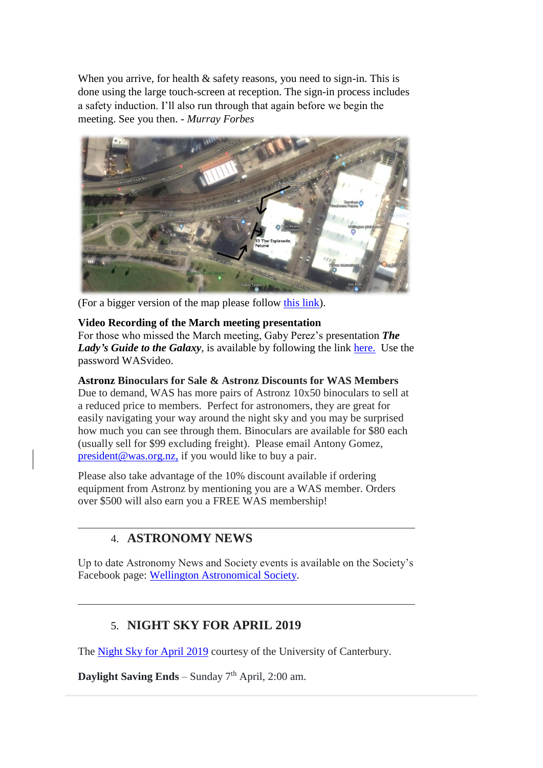When you arrive, for health  $\&$  safety reasons, you need to sign-in. This is done using the large touch-screen at reception. The sign-in process includes a safety induction. I'll also run through that again before we begin the meeting. See you then. - *Murray Forbes*



(For a bigger version of the map please follow [this link\)](https://drive.google.com/file/d/0BxUmCMIrmiclNzBhdmFwV3RwekNRcmVCRHVkQ0ljOEp3YXFj/view?usp=sharing).

### **Video Recording of the March meeting presentation**

For those who missed the March meeting, Gaby Perez's presentation *The Lady's Guide to the Galaxy*, is available by following the link [here.](https://vimeo.com/321866417) Use the password WASvideo.

#### **Astronz Binoculars for Sale & Astronz Discounts for WAS Members**

Due to demand, WAS has more pairs of Astronz 10x50 binoculars to sell at a reduced price to members. Perfect for astronomers, they are great for easily navigating your way around the night sky and you may be surprised how much you can see through them. Binoculars are available for \$80 each (usually sell for \$99 excluding freight). Please email Antony Gomez, [president@was.org.nz,](mailto:president@was.org.nz) if you would like to buy a pair.

Please also take advantage of the 10% discount available if ordering equipment from Astronz by mentioning you are a WAS member. Orders over \$500 will also earn you a FREE WAS membership!

## 4. **ASTRONOMY NEWS**

Up to date Astronomy News and Society events is available on the Society's Facebook page: [Wellington Astronomical Society.](http://www.facebook.com/WellingtonAstronomicalSociety/)

## 5. **NIGHT SKY FOR APRIL 2019**

The [Night Sky for April](https://drive.google.com/open?id=1KVsMjK4glRZ6XL-_eKIA0s3iSzbY6qM4) 2019 courtesy of the University of Canterbury.

**Daylight Saving Ends** – Sunday  $7<sup>th</sup>$  April, 2:00 am.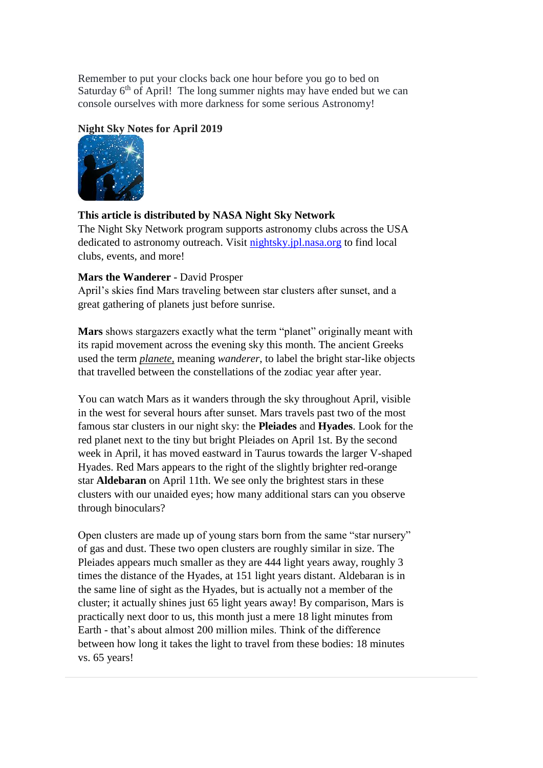Remember to put your clocks back one hour before you go to bed on Saturday  $6<sup>th</sup>$  of April! The long summer nights may have ended but we can console ourselves with more darkness for some serious Astronomy!

#### **Night Sky Notes for April 2019**



### **This article is distributed by NASA Night Sky Network**

The Night Sky Network program supports astronomy clubs across the USA dedicated to astronomy outreach. Visit [nightsky.jpl.nasa.org](https://nightsky.jpl.nasa.org/) to find local clubs, events, and more!

#### **Mars the Wanderer** - David Prosper

April's skies find Mars traveling between star clusters after sunset, and a great gathering of planets just before sunrise.

**Mars** shows stargazers exactly what the term "planet" originally meant with its rapid movement across the evening sky this month. The ancient Greeks used the term *planete,* meaning *wanderer*, to label the bright star-like objects that travelled between the constellations of the zodiac year after year.

You can watch Mars as it wanders through the sky throughout April, visible in the west for several hours after sunset. Mars travels past two of the most famous star clusters in our night sky: the **Pleiades** and **Hyades**. Look for the red planet next to the tiny but bright Pleiades on April 1st. By the second week in April, it has moved eastward in Taurus towards the larger V-shaped Hyades. Red Mars appears to the right of the slightly brighter red-orange star **Aldebaran** on April 11th. We see only the brightest stars in these clusters with our unaided eyes; how many additional stars can you observe through binoculars?

Open clusters are made up of young stars born from the same "star nursery" of gas and dust. These two open clusters are roughly similar in size. The Pleiades appears much smaller as they are 444 light years away, roughly 3 times the distance of the Hyades, at 151 light years distant. Aldebaran is in the same line of sight as the Hyades, but is actually not a member of the cluster; it actually shines just 65 light years away! By comparison, Mars is practically next door to us, this month just a mere 18 light minutes from Earth - that's about almost 200 million miles. Think of the difference between how long it takes the light to travel from these bodies: 18 minutes vs. 65 years!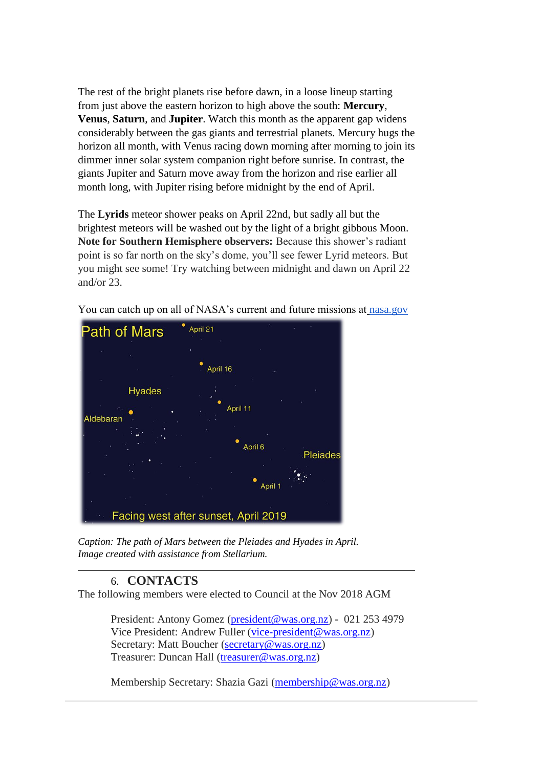The rest of the bright planets rise before dawn, in a loose lineup starting from just above the eastern horizon to high above the south: **Mercury**, **Venus**, **Saturn**, and **Jupiter**. Watch this month as the apparent gap widens considerably between the gas giants and terrestrial planets. Mercury hugs the horizon all month, with Venus racing down morning after morning to join its dimmer inner solar system companion right before sunrise. In contrast, the giants Jupiter and Saturn move away from the horizon and rise earlier all month long, with Jupiter rising before midnight by the end of April.

The **Lyrids** meteor shower peaks on April 22nd, but sadly all but the brightest meteors will be washed out by the light of a bright gibbous Moon. **Note for Southern Hemisphere observers:** Because this shower's radiant point is so far north on the sky's dome, you'll see fewer Lyrid meteors. But you might see some! Try watching between midnight and dawn on April 22 and/or 23.



You can catch up on all of NASA's current and future missions at [nasa.gov](http://www.nasa.gov/)

*Caption: The path of Mars between the Pleiades and Hyades in April. Image created with assistance from Stellarium.*

## 6. **CONTACTS**

The following members were elected to Council at the Nov 2018 AGM

President: Antony Gomez [\(president@was.org.nz\)](mailto:president@was.org.nz) - 021 253 4979 Vice President: Andrew Fuller [\(vice-president@was.org.nz\)](mailto:vice-president@was.org.nz) Secretary: Matt Boucher [\(secretary@was.org.nz\)](mailto:secretary@was.org.nz) Treasurer: Duncan Hall [\(treasurer@was.org.nz\)](mailto:treasurer@was.org.nz)

Membership Secretary: Shazia Gazi [\(membership@was.org.nz\)](mailto:membership@was.org.nz)